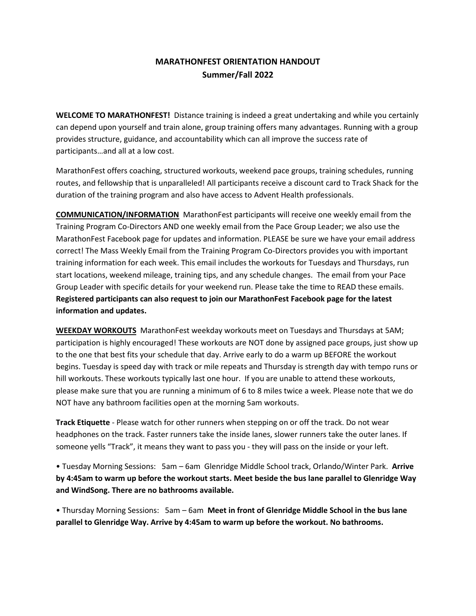# **MARATHONFEST ORIENTATION HANDOUT Summer/Fall 2022**

**WELCOME TO MARATHONFEST!** Distance training is indeed a great undertaking and while you certainly can depend upon yourself and train alone, group training offers many advantages. Running with a group provides structure, guidance, and accountability which can all improve the success rate of participants…and all at a low cost.

MarathonFest offers coaching, structured workouts, weekend pace groups, training schedules, running routes, and fellowship that is unparalleled! All participants receive a discount card to Track Shack for the duration of the training program and also have access to Advent Health professionals.

**COMMUNICATION/INFORMATION** MarathonFest participants will receive one weekly email from the Training Program Co-Directors AND one weekly email from the Pace Group Leader; we also use the MarathonFest Facebook page for updates and information. PLEASE be sure we have your email address correct! The Mass Weekly Email from the Training Program Co-Directors provides you with important training information for each week. This email includes the workouts for Tuesdays and Thursdays, run start locations, weekend mileage, training tips, and any schedule changes. The email from your Pace Group Leader with specific details for your weekend run. Please take the time to READ these emails. **Registered participants can also request to join our MarathonFest Facebook page for the latest information and updates.** 

**WEEKDAY WORKOUTS** MarathonFest weekday workouts meet on Tuesdays and Thursdays at 5AM; participation is highly encouraged! These workouts are NOT done by assigned pace groups, just show up to the one that best fits your schedule that day. Arrive early to do a warm up BEFORE the workout begins. Tuesday is speed day with track or mile repeats and Thursday is strength day with tempo runs or hill workouts. These workouts typically last one hour. If you are unable to attend these workouts, please make sure that you are running a minimum of 6 to 8 miles twice a week. Please note that we do NOT have any bathroom facilities open at the morning 5am workouts.

**Track Etiquette** - Please watch for other runners when stepping on or off the track. Do not wear headphones on the track. Faster runners take the inside lanes, slower runners take the outer lanes. If someone yells "Track", it means they want to pass you - they will pass on the inside or your left.

• Tuesday Morning Sessions: 5am – 6am Glenridge Middle School track, Orlando/Winter Park. **Arrive by 4:45am to warm up before the workout starts. Meet beside the bus lane parallel to Glenridge Way and WindSong. There are no bathrooms available.** 

• Thursday Morning Sessions: 5am – 6am **Meet in front of Glenridge Middle School in the bus lane parallel to Glenridge Way. Arrive by 4:45am to warm up before the workout. No bathrooms.**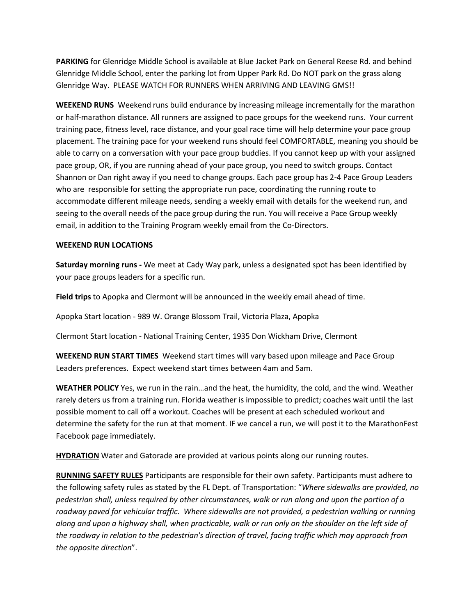**PARKING** for Glenridge Middle School is available at Blue Jacket Park on General Reese Rd. and behind Glenridge Middle School, enter the parking lot from Upper Park Rd. Do NOT park on the grass along Glenridge Way. PLEASE WATCH FOR RUNNERS WHEN ARRIVING AND LEAVING GMS!!

**WEEKEND RUNS** Weekend runs build endurance by increasing mileage incrementally for the marathon or half-marathon distance. All runners are assigned to pace groups for the weekend runs. Your current training pace, fitness level, race distance, and your goal race time will help determine your pace group placement. The training pace for your weekend runs should feel COMFORTABLE, meaning you should be able to carry on a conversation with your pace group buddies. If you cannot keep up with your assigned pace group, OR, if you are running ahead of your pace group, you need to switch groups. Contact Shannon or Dan right away if you need to change groups. Each pace group has 2-4 Pace Group Leaders who are responsible for setting the appropriate run pace, coordinating the running route to accommodate different mileage needs, sending a weekly email with details for the weekend run, and seeing to the overall needs of the pace group during the run. You will receive a Pace Group weekly email, in addition to the Training Program weekly email from the Co-Directors.

#### **WEEKEND RUN LOCATIONS**

**Saturday morning runs -** We meet at Cady Way park, unless a designated spot has been identified by your pace groups leaders for a specific run.

**Field trips** to Apopka and Clermont will be announced in the weekly email ahead of time.

Apopka Start location - 989 W. Orange Blossom Trail, Victoria Plaza, Apopka

Clermont Start location - National Training Center, 1935 Don Wickham Drive, Clermont

**WEEKEND RUN START TIMES** Weekend start times will vary based upon mileage and Pace Group Leaders preferences. Expect weekend start times between 4am and 5am.

**WEATHER POLICY** Yes, we run in the rain…and the heat, the humidity, the cold, and the wind. Weather rarely deters us from a training run. Florida weather is impossible to predict; coaches wait until the last possible moment to call off a workout. Coaches will be present at each scheduled workout and determine the safety for the run at that moment. IF we cancel a run, we will post it to the MarathonFest Facebook page immediately.

**HYDRATION** Water and Gatorade are provided at various points along our running routes.

**RUNNING SAFETY RULES** Participants are responsible for their own safety. Participants must adhere to the following safety rules as stated by the FL Dept. of Transportation: "*Where sidewalks are provided, no pedestrian shall, unless required by other circumstances, walk or run along and upon the portion of a roadway paved for vehicular traffic. Where sidewalks are not provided, a pedestrian walking or running along and upon a highway shall, when practicable, walk or run only on the shoulder on the left side of the roadway in relation to the pedestrian's direction of travel, facing traffic which may approach from the opposite direction*".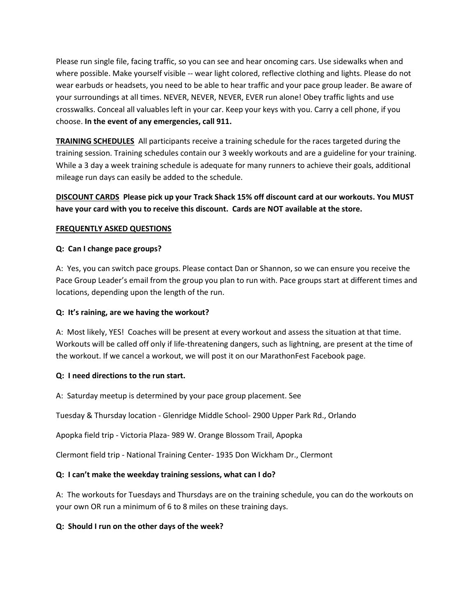Please run single file, facing traffic, so you can see and hear oncoming cars. Use sidewalks when and where possible. Make yourself visible -- wear light colored, reflective clothing and lights. Please do not wear earbuds or headsets, you need to be able to hear traffic and your pace group leader. Be aware of your surroundings at all times. NEVER, NEVER, NEVER, EVER run alone! Obey traffic lights and use crosswalks. Conceal all valuables left in your car. Keep your keys with you. Carry a cell phone, if you choose. **In the event of any emergencies, call 911.**

**TRAINING SCHEDULES** All participants receive a training schedule for the races targeted during the training session. Training schedules contain our 3 weekly workouts and are a guideline for your training. While a 3 day a week training schedule is adequate for many runners to achieve their goals, additional mileage run days can easily be added to the schedule.

## **DISCOUNT CARDS Please pick up your Track Shack 15% off discount card at our workouts. You MUST have your card with you to receive this discount. Cards are NOT available at the store.**

### **FREQUENTLY ASKED QUESTIONS**

#### **Q: Can I change pace groups?**

A: Yes, you can switch pace groups. Please contact Dan or Shannon, so we can ensure you receive the Pace Group Leader's email from the group you plan to run with. Pace groups start at different times and locations, depending upon the length of the run.

#### **Q: It's raining, are we having the workout?**

A: Most likely, YES! Coaches will be present at every workout and assess the situation at that time. Workouts will be called off only if life-threatening dangers, such as lightning, are present at the time of the workout. If we cancel a workout, we will post it on our MarathonFest Facebook page.

#### **Q: I need directions to the run start.**

A: Saturday meetup is determined by your pace group placement. See

Tuesday & Thursday location - Glenridge Middle School- 2900 Upper Park Rd., Orlando

Apopka field trip - Victoria Plaza- 989 W. Orange Blossom Trail, Apopka

Clermont field trip - National Training Center- 1935 Don Wickham Dr., Clermont

#### **Q: I can't make the weekday training sessions, what can I do?**

A: The workouts for Tuesdays and Thursdays are on the training schedule, you can do the workouts on your own OR run a minimum of 6 to 8 miles on these training days.

#### **Q: Should I run on the other days of the week?**